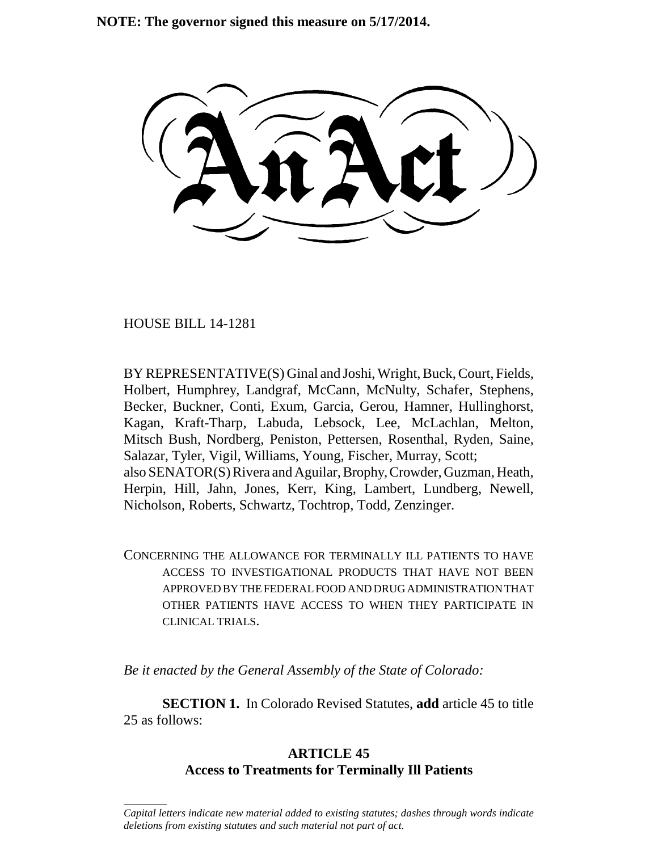**NOTE: The governor signed this measure on 5/17/2014.**

HOUSE BILL 14-1281

\_\_\_\_\_\_\_\_

BY REPRESENTATIVE(S) Ginal and Joshi, Wright, Buck, Court, Fields, Holbert, Humphrey, Landgraf, McCann, McNulty, Schafer, Stephens, Becker, Buckner, Conti, Exum, Garcia, Gerou, Hamner, Hullinghorst, Kagan, Kraft-Tharp, Labuda, Lebsock, Lee, McLachlan, Melton, Mitsch Bush, Nordberg, Peniston, Pettersen, Rosenthal, Ryden, Saine, Salazar, Tyler, Vigil, Williams, Young, Fischer, Murray, Scott; also SENATOR(S) Rivera and Aguilar, Brophy, Crowder, Guzman, Heath, Herpin, Hill, Jahn, Jones, Kerr, King, Lambert, Lundberg, Newell, Nicholson, Roberts, Schwartz, Tochtrop, Todd, Zenzinger.

CONCERNING THE ALLOWANCE FOR TERMINALLY ILL PATIENTS TO HAVE ACCESS TO INVESTIGATIONAL PRODUCTS THAT HAVE NOT BEEN APPROVED BY THE FEDERAL FOOD AND DRUG ADMINISTRATION THAT OTHER PATIENTS HAVE ACCESS TO WHEN THEY PARTICIPATE IN CLINICAL TRIALS.

*Be it enacted by the General Assembly of the State of Colorado:*

**SECTION 1.** In Colorado Revised Statutes, **add** article 45 to title 25 as follows:

## **ARTICLE 45 Access to Treatments for Terminally Ill Patients**

*Capital letters indicate new material added to existing statutes; dashes through words indicate deletions from existing statutes and such material not part of act.*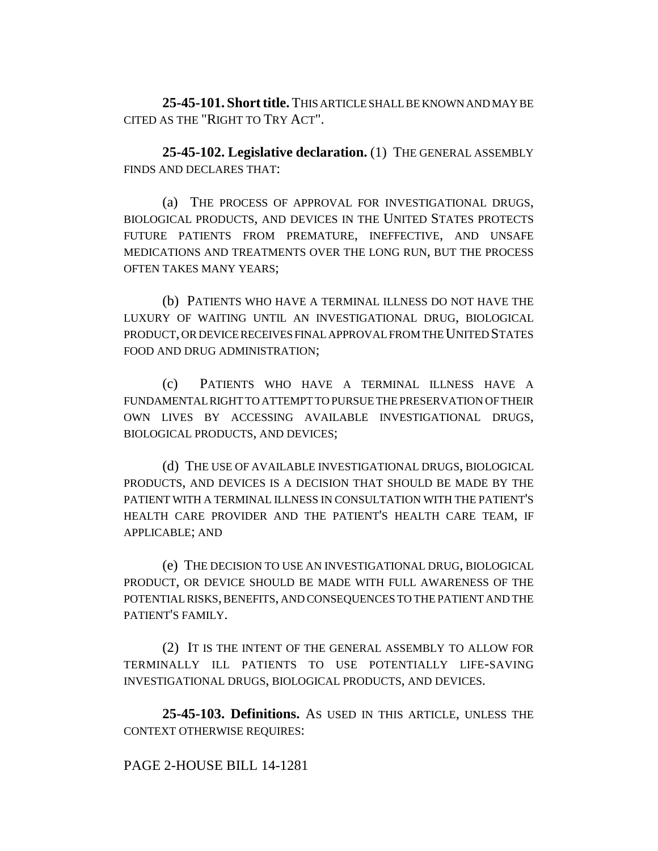**25-45-101. Short title.** THIS ARTICLE SHALL BE KNOWN AND MAY BE CITED AS THE "RIGHT TO TRY ACT".

**25-45-102. Legislative declaration.** (1) THE GENERAL ASSEMBLY FINDS AND DECLARES THAT:

(a) THE PROCESS OF APPROVAL FOR INVESTIGATIONAL DRUGS, BIOLOGICAL PRODUCTS, AND DEVICES IN THE UNITED STATES PROTECTS FUTURE PATIENTS FROM PREMATURE, INEFFECTIVE, AND UNSAFE MEDICATIONS AND TREATMENTS OVER THE LONG RUN, BUT THE PROCESS OFTEN TAKES MANY YEARS;

(b) PATIENTS WHO HAVE A TERMINAL ILLNESS DO NOT HAVE THE LUXURY OF WAITING UNTIL AN INVESTIGATIONAL DRUG, BIOLOGICAL PRODUCT, OR DEVICE RECEIVES FINAL APPROVAL FROM THE UNITED STATES FOOD AND DRUG ADMINISTRATION;

(c) PATIENTS WHO HAVE A TERMINAL ILLNESS HAVE A FUNDAMENTAL RIGHT TO ATTEMPT TO PURSUE THE PRESERVATION OF THEIR OWN LIVES BY ACCESSING AVAILABLE INVESTIGATIONAL DRUGS, BIOLOGICAL PRODUCTS, AND DEVICES;

(d) THE USE OF AVAILABLE INVESTIGATIONAL DRUGS, BIOLOGICAL PRODUCTS, AND DEVICES IS A DECISION THAT SHOULD BE MADE BY THE PATIENT WITH A TERMINAL ILLNESS IN CONSULTATION WITH THE PATIENT'S HEALTH CARE PROVIDER AND THE PATIENT'S HEALTH CARE TEAM, IF APPLICABLE; AND

(e) THE DECISION TO USE AN INVESTIGATIONAL DRUG, BIOLOGICAL PRODUCT, OR DEVICE SHOULD BE MADE WITH FULL AWARENESS OF THE POTENTIAL RISKS, BENEFITS, AND CONSEQUENCES TO THE PATIENT AND THE PATIENT'S FAMILY.

(2) IT IS THE INTENT OF THE GENERAL ASSEMBLY TO ALLOW FOR TERMINALLY ILL PATIENTS TO USE POTENTIALLY LIFE-SAVING INVESTIGATIONAL DRUGS, BIOLOGICAL PRODUCTS, AND DEVICES.

**25-45-103. Definitions.** AS USED IN THIS ARTICLE, UNLESS THE CONTEXT OTHERWISE REQUIRES:

## PAGE 2-HOUSE BILL 14-1281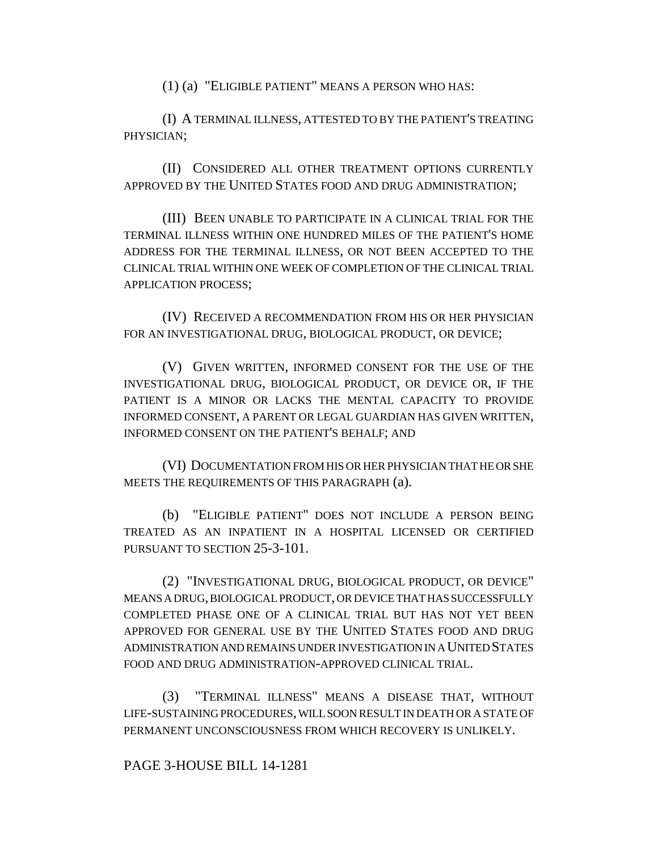(1) (a) "ELIGIBLE PATIENT" MEANS A PERSON WHO HAS:

(I) A TERMINAL ILLNESS, ATTESTED TO BY THE PATIENT'S TREATING PHYSICIAN;

(II) CONSIDERED ALL OTHER TREATMENT OPTIONS CURRENTLY APPROVED BY THE UNITED STATES FOOD AND DRUG ADMINISTRATION;

(III) BEEN UNABLE TO PARTICIPATE IN A CLINICAL TRIAL FOR THE TERMINAL ILLNESS WITHIN ONE HUNDRED MILES OF THE PATIENT'S HOME ADDRESS FOR THE TERMINAL ILLNESS, OR NOT BEEN ACCEPTED TO THE CLINICAL TRIAL WITHIN ONE WEEK OF COMPLETION OF THE CLINICAL TRIAL APPLICATION PROCESS;

(IV) RECEIVED A RECOMMENDATION FROM HIS OR HER PHYSICIAN FOR AN INVESTIGATIONAL DRUG, BIOLOGICAL PRODUCT, OR DEVICE;

(V) GIVEN WRITTEN, INFORMED CONSENT FOR THE USE OF THE INVESTIGATIONAL DRUG, BIOLOGICAL PRODUCT, OR DEVICE OR, IF THE PATIENT IS A MINOR OR LACKS THE MENTAL CAPACITY TO PROVIDE INFORMED CONSENT, A PARENT OR LEGAL GUARDIAN HAS GIVEN WRITTEN, INFORMED CONSENT ON THE PATIENT'S BEHALF; AND

(VI) DOCUMENTATION FROM HIS OR HER PHYSICIAN THAT HE OR SHE MEETS THE REQUIREMENTS OF THIS PARAGRAPH (a).

(b) "ELIGIBLE PATIENT" DOES NOT INCLUDE A PERSON BEING TREATED AS AN INPATIENT IN A HOSPITAL LICENSED OR CERTIFIED PURSUANT TO SECTION 25-3-101.

(2) "INVESTIGATIONAL DRUG, BIOLOGICAL PRODUCT, OR DEVICE" MEANS A DRUG, BIOLOGICAL PRODUCT, OR DEVICE THAT HAS SUCCESSFULLY COMPLETED PHASE ONE OF A CLINICAL TRIAL BUT HAS NOT YET BEEN APPROVED FOR GENERAL USE BY THE UNITED STATES FOOD AND DRUG ADMINISTRATION AND REMAINS UNDER INVESTIGATION IN A UNITED STATES FOOD AND DRUG ADMINISTRATION-APPROVED CLINICAL TRIAL.

(3) "TERMINAL ILLNESS" MEANS A DISEASE THAT, WITHOUT LIFE-SUSTAINING PROCEDURES, WILL SOON RESULT IN DEATH OR A STATE OF PERMANENT UNCONSCIOUSNESS FROM WHICH RECOVERY IS UNLIKELY.

PAGE 3-HOUSE BILL 14-1281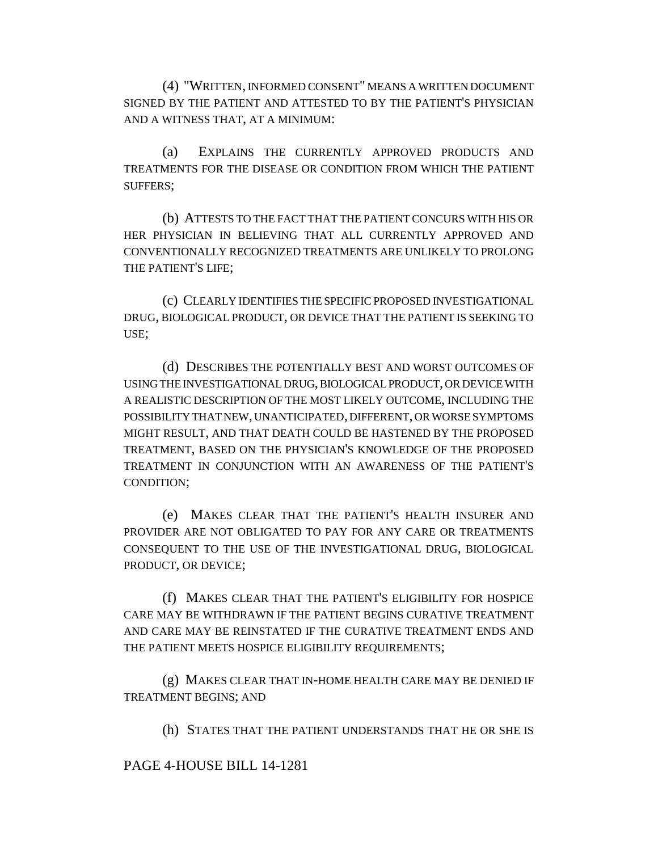(4) "WRITTEN, INFORMED CONSENT" MEANS A WRITTEN DOCUMENT SIGNED BY THE PATIENT AND ATTESTED TO BY THE PATIENT'S PHYSICIAN AND A WITNESS THAT, AT A MINIMUM:

(a) EXPLAINS THE CURRENTLY APPROVED PRODUCTS AND TREATMENTS FOR THE DISEASE OR CONDITION FROM WHICH THE PATIENT SUFFERS;

(b) ATTESTS TO THE FACT THAT THE PATIENT CONCURS WITH HIS OR HER PHYSICIAN IN BELIEVING THAT ALL CURRENTLY APPROVED AND CONVENTIONALLY RECOGNIZED TREATMENTS ARE UNLIKELY TO PROLONG THE PATIENT'S LIFE;

(c) CLEARLY IDENTIFIES THE SPECIFIC PROPOSED INVESTIGATIONAL DRUG, BIOLOGICAL PRODUCT, OR DEVICE THAT THE PATIENT IS SEEKING TO USE;

(d) DESCRIBES THE POTENTIALLY BEST AND WORST OUTCOMES OF USING THE INVESTIGATIONAL DRUG, BIOLOGICAL PRODUCT, OR DEVICE WITH A REALISTIC DESCRIPTION OF THE MOST LIKELY OUTCOME, INCLUDING THE POSSIBILITY THAT NEW, UNANTICIPATED, DIFFERENT, OR WORSE SYMPTOMS MIGHT RESULT, AND THAT DEATH COULD BE HASTENED BY THE PROPOSED TREATMENT, BASED ON THE PHYSICIAN'S KNOWLEDGE OF THE PROPOSED TREATMENT IN CONJUNCTION WITH AN AWARENESS OF THE PATIENT'S CONDITION;

(e) MAKES CLEAR THAT THE PATIENT'S HEALTH INSURER AND PROVIDER ARE NOT OBLIGATED TO PAY FOR ANY CARE OR TREATMENTS CONSEQUENT TO THE USE OF THE INVESTIGATIONAL DRUG, BIOLOGICAL PRODUCT, OR DEVICE;

(f) MAKES CLEAR THAT THE PATIENT'S ELIGIBILITY FOR HOSPICE CARE MAY BE WITHDRAWN IF THE PATIENT BEGINS CURATIVE TREATMENT AND CARE MAY BE REINSTATED IF THE CURATIVE TREATMENT ENDS AND THE PATIENT MEETS HOSPICE ELIGIBILITY REQUIREMENTS;

(g) MAKES CLEAR THAT IN-HOME HEALTH CARE MAY BE DENIED IF TREATMENT BEGINS; AND

(h) STATES THAT THE PATIENT UNDERSTANDS THAT HE OR SHE IS

## PAGE 4-HOUSE BILL 14-1281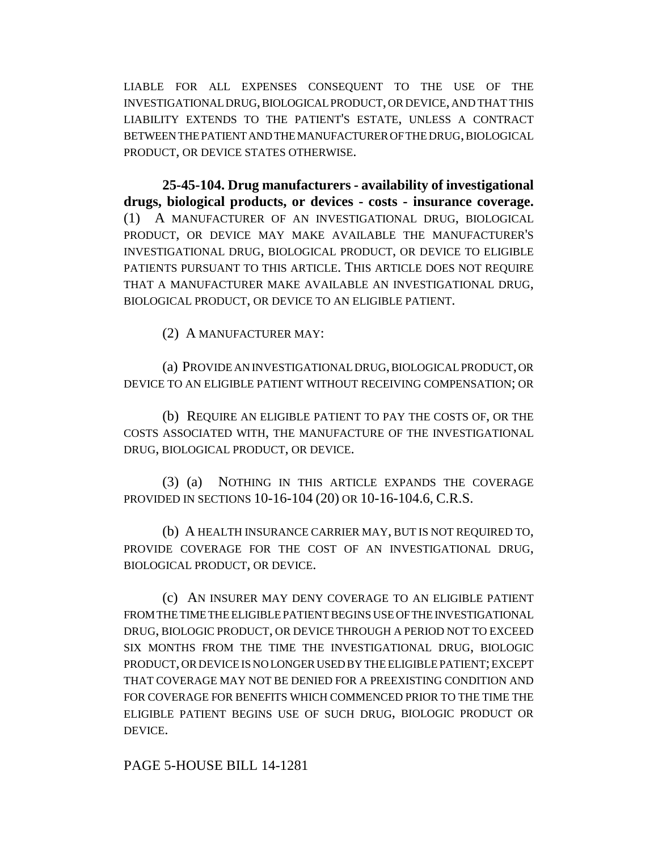LIABLE FOR ALL EXPENSES CONSEQUENT TO THE USE OF THE INVESTIGATIONAL DRUG, BIOLOGICAL PRODUCT, OR DEVICE, AND THAT THIS LIABILITY EXTENDS TO THE PATIENT'S ESTATE, UNLESS A CONTRACT BETWEEN THE PATIENT AND THE MANUFACTURER OF THE DRUG, BIOLOGICAL PRODUCT, OR DEVICE STATES OTHERWISE.

**25-45-104. Drug manufacturers - availability of investigational drugs, biological products, or devices - costs - insurance coverage.** (1) A MANUFACTURER OF AN INVESTIGATIONAL DRUG, BIOLOGICAL PRODUCT, OR DEVICE MAY MAKE AVAILABLE THE MANUFACTURER'S INVESTIGATIONAL DRUG, BIOLOGICAL PRODUCT, OR DEVICE TO ELIGIBLE PATIENTS PURSUANT TO THIS ARTICLE. THIS ARTICLE DOES NOT REQUIRE THAT A MANUFACTURER MAKE AVAILABLE AN INVESTIGATIONAL DRUG, BIOLOGICAL PRODUCT, OR DEVICE TO AN ELIGIBLE PATIENT.

(2) A MANUFACTURER MAY:

(a) PROVIDE AN INVESTIGATIONAL DRUG, BIOLOGICAL PRODUCT, OR DEVICE TO AN ELIGIBLE PATIENT WITHOUT RECEIVING COMPENSATION; OR

(b) REQUIRE AN ELIGIBLE PATIENT TO PAY THE COSTS OF, OR THE COSTS ASSOCIATED WITH, THE MANUFACTURE OF THE INVESTIGATIONAL DRUG, BIOLOGICAL PRODUCT, OR DEVICE.

(3) (a) NOTHING IN THIS ARTICLE EXPANDS THE COVERAGE PROVIDED IN SECTIONS 10-16-104 (20) OR 10-16-104.6, C.R.S.

(b) A HEALTH INSURANCE CARRIER MAY, BUT IS NOT REQUIRED TO, PROVIDE COVERAGE FOR THE COST OF AN INVESTIGATIONAL DRUG, BIOLOGICAL PRODUCT, OR DEVICE.

(c) AN INSURER MAY DENY COVERAGE TO AN ELIGIBLE PATIENT FROM THE TIME THE ELIGIBLE PATIENT BEGINS USE OF THE INVESTIGATIONAL DRUG, BIOLOGIC PRODUCT, OR DEVICE THROUGH A PERIOD NOT TO EXCEED SIX MONTHS FROM THE TIME THE INVESTIGATIONAL DRUG, BIOLOGIC PRODUCT, OR DEVICE IS NO LONGER USED BY THE ELIGIBLE PATIENT; EXCEPT THAT COVERAGE MAY NOT BE DENIED FOR A PREEXISTING CONDITION AND FOR COVERAGE FOR BENEFITS WHICH COMMENCED PRIOR TO THE TIME THE ELIGIBLE PATIENT BEGINS USE OF SUCH DRUG, BIOLOGIC PRODUCT OR DEVICE.

PAGE 5-HOUSE BILL 14-1281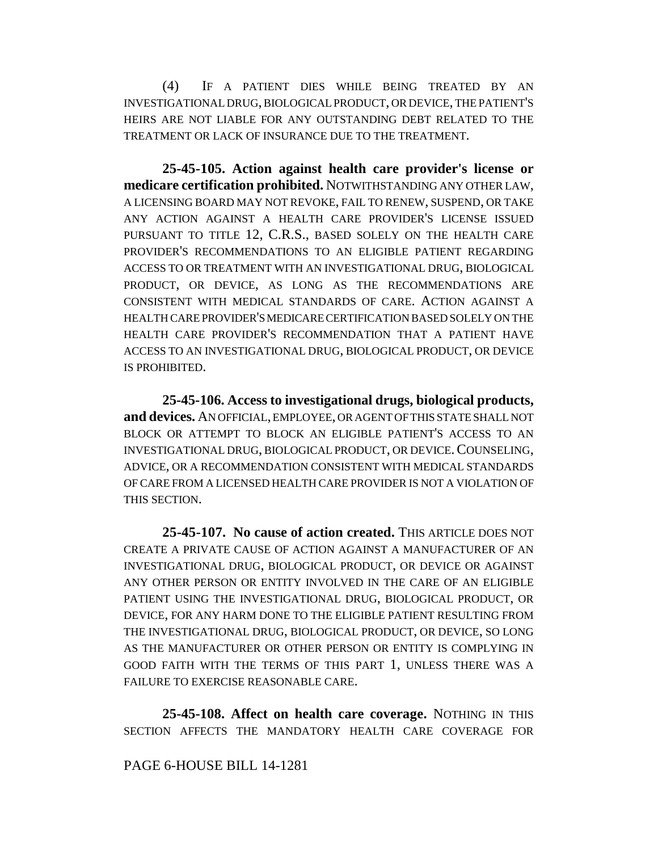(4) IF A PATIENT DIES WHILE BEING TREATED BY AN INVESTIGATIONAL DRUG, BIOLOGICAL PRODUCT, OR DEVICE, THE PATIENT'S HEIRS ARE NOT LIABLE FOR ANY OUTSTANDING DEBT RELATED TO THE TREATMENT OR LACK OF INSURANCE DUE TO THE TREATMENT.

**25-45-105. Action against health care provider's license or medicare certification prohibited.** NOTWITHSTANDING ANY OTHER LAW, A LICENSING BOARD MAY NOT REVOKE, FAIL TO RENEW, SUSPEND, OR TAKE ANY ACTION AGAINST A HEALTH CARE PROVIDER'S LICENSE ISSUED PURSUANT TO TITLE 12, C.R.S., BASED SOLELY ON THE HEALTH CARE PROVIDER'S RECOMMENDATIONS TO AN ELIGIBLE PATIENT REGARDING ACCESS TO OR TREATMENT WITH AN INVESTIGATIONAL DRUG, BIOLOGICAL PRODUCT, OR DEVICE, AS LONG AS THE RECOMMENDATIONS ARE CONSISTENT WITH MEDICAL STANDARDS OF CARE. ACTION AGAINST A HEALTH CARE PROVIDER'S MEDICARE CERTIFICATION BASED SOLELY ON THE HEALTH CARE PROVIDER'S RECOMMENDATION THAT A PATIENT HAVE ACCESS TO AN INVESTIGATIONAL DRUG, BIOLOGICAL PRODUCT, OR DEVICE IS PROHIBITED.

**25-45-106. Access to investigational drugs, biological products, and devices.** AN OFFICIAL, EMPLOYEE, OR AGENT OF THIS STATE SHALL NOT BLOCK OR ATTEMPT TO BLOCK AN ELIGIBLE PATIENT'S ACCESS TO AN INVESTIGATIONAL DRUG, BIOLOGICAL PRODUCT, OR DEVICE.COUNSELING, ADVICE, OR A RECOMMENDATION CONSISTENT WITH MEDICAL STANDARDS OF CARE FROM A LICENSED HEALTH CARE PROVIDER IS NOT A VIOLATION OF THIS SECTION.

**25-45-107. No cause of action created.** THIS ARTICLE DOES NOT CREATE A PRIVATE CAUSE OF ACTION AGAINST A MANUFACTURER OF AN INVESTIGATIONAL DRUG, BIOLOGICAL PRODUCT, OR DEVICE OR AGAINST ANY OTHER PERSON OR ENTITY INVOLVED IN THE CARE OF AN ELIGIBLE PATIENT USING THE INVESTIGATIONAL DRUG, BIOLOGICAL PRODUCT, OR DEVICE, FOR ANY HARM DONE TO THE ELIGIBLE PATIENT RESULTING FROM THE INVESTIGATIONAL DRUG, BIOLOGICAL PRODUCT, OR DEVICE, SO LONG AS THE MANUFACTURER OR OTHER PERSON OR ENTITY IS COMPLYING IN GOOD FAITH WITH THE TERMS OF THIS PART 1, UNLESS THERE WAS A FAILURE TO EXERCISE REASONABLE CARE.

**25-45-108. Affect on health care coverage.** NOTHING IN THIS SECTION AFFECTS THE MANDATORY HEALTH CARE COVERAGE FOR

## PAGE 6-HOUSE BILL 14-1281